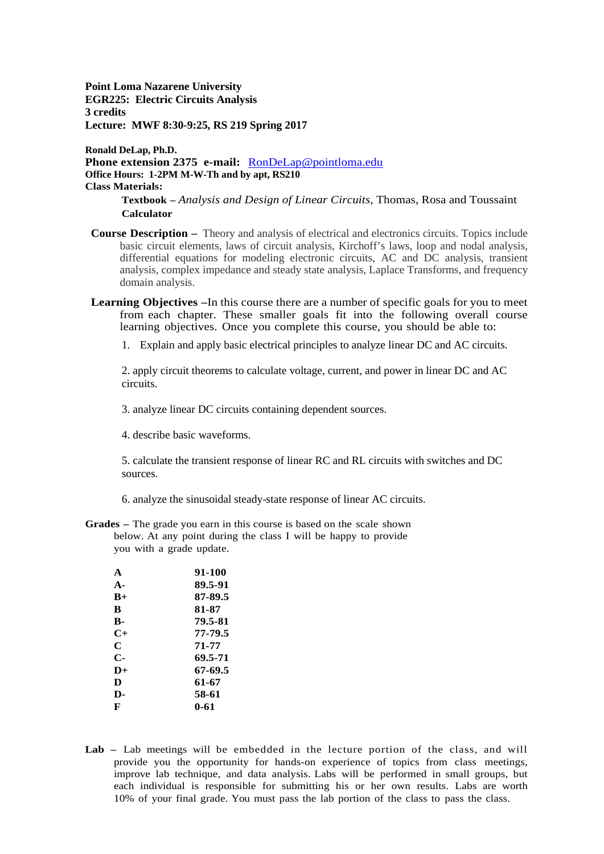**Point Loma Nazarene University EGR225: Electric Circuits Analysis 3 credits Lecture: MWF 8:30-9:25, RS 219 Spring 2017**

**Ronald DeLap, Ph.D. Phone extension 2375 e-mail:** [RonDeLap@pointloma.edu](mailto:RonDeLap@pointloma.edu) **Office Hours: 1-2PM M-W-Th and by apt, RS210 Class Materials:**

> **Textbook –** *Analysis and Design of Linear Circuits*, Thomas, Rosa and Toussaint **Calculator**

- **Course Description –** Theory and analysis of electrical and electronics circuits. Topics include basic circuit elements, laws of circuit analysis, Kirchoff's laws, loop and nodal analysis, differential equations for modeling electronic circuits, AC and DC analysis, transient analysis, complex impedance and steady state analysis, Laplace Transforms, and frequency domain analysis.
- **Learning Objectives –**In this course there are a number of specific goals for you to meet from each chapter. These smaller goals fit into the following overall course learning objectives. Once you complete this course, you should be able to:
	- 1. Explain and apply basic electrical principles to analyze linear DC and AC circuits.

2. apply circuit theorems to calculate voltage, current, and power in linear DC and AC circuits.

3. analyze linear DC circuits containing dependent sources.

4. describe basic waveforms.

5. calculate the transient response of linear RC and RL circuits with switches and DC sources.

6. analyze the sinusoidal steady-state response of linear AC circuits.

**Grades –** The grade you earn in this course is based on the scale shown below. At any point during the class I will be happy to provide you with a grade update.

| $\mathbf{A}$   | 91-100  |
|----------------|---------|
| $\mathbf{A}$ - | 89.5-91 |
| $B+$           | 87-89.5 |
| R              | 81-87   |
| в-             | 79.5-81 |
| $C+$           | 77-79.5 |
| C              | 71-77   |
| $\mathbf{C}$   | 69.5-71 |
| $\mathbf{D}+$  | 67-69.5 |
| D              | 61-67   |
| D-             | 58-61   |
| F              | 0-61    |
|                |         |

**Lab –** Lab meetings will be embedded in the lecture portion of the class, and will provide you the opportunity for hands-on experience of topics from class meetings, improve lab technique, and data analysis. Labs will be performed in small groups, but each individual is responsible for submitting his or her own results. Labs are worth 10% of your final grade. You must pass the lab portion of the class to pass the class.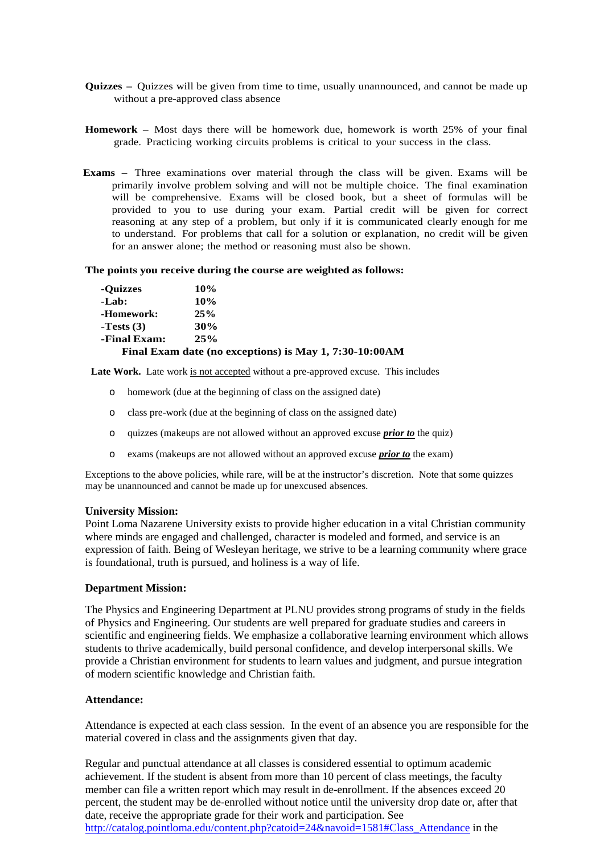- **Quizzes –** Quizzes will be given from time to time, usually unannounced, and cannot be made up without a pre-approved class absence
- **Homework –** Most days there will be homework due, homework is worth 25% of your final grade. Practicing working circuits problems is critical to your success in the class.
- **Exams –** Three examinations over material through the class will be given. Exams will be primarily involve problem solving and will not be multiple choice. The final examination will be comprehensive. Exams will be closed book, but a sheet of formulas will be provided to you to use during your exam. Partial credit will be given for correct reasoning at any step of a problem, but only if it is communicated clearly enough for me to understand. For problems that call for a solution or explanation, no credit will be given for an answer alone; the method or reasoning must also be shown.

#### **The points you receive during the course are weighted as follows:**

| -Quizzes     | 10% |
|--------------|-----|
| -Lab:        | 10% |
| -Homework:   | 25% |
| $-Tests(3)$  | 30% |
| -Final Exam: | 25% |

#### **Final Exam date (no exceptions) is May 1, 7:30-10:00AM**

**Late Work.** Late work is not accepted without a pre-approved excuse. This includes

- o homework (due at the beginning of class on the assigned date)
- o class pre-work (due at the beginning of class on the assigned date)
- o quizzes (makeups are not allowed without an approved excuse *prior to* the quiz)
- o exams (makeups are not allowed without an approved excuse *prior to* the exam)

Exceptions to the above policies, while rare, will be at the instructor's discretion. Note that some quizzes may be unannounced and cannot be made up for unexcused absences.

#### **University Mission:**

Point Loma Nazarene University exists to provide higher education in a vital Christian community where minds are engaged and challenged, character is modeled and formed, and service is an expression of faith. Being of Wesleyan heritage, we strive to be a learning community where grace is foundational, truth is pursued, and holiness is a way of life.

## **Department Mission:**

The Physics and Engineering Department at PLNU provides strong programs of study in the fields of Physics and Engineering. Our students are well prepared for graduate studies and careers in scientific and engineering fields. We emphasize a collaborative learning environment which allows students to thrive academically, build personal confidence, and develop interpersonal skills. We provide a Christian environment for students to learn values and judgment, and pursue integration of modern scientific knowledge and Christian faith.

#### **Attendance:**

Attendance is expected at each class session. In the event of an absence you are responsible for the material covered in class and the assignments given that day.

Regular and punctual attendance at all classes is considered essential to optimum academic achievement. If the student is absent from more than 10 percent of class meetings, the faculty member can file a written report which may result in de-enrollment. If the absences exceed 20 percent, the student may be de-enrolled without notice until the university drop date or, after that date, receive the appropriate grade for their work and participation. See [http://catalog.pointloma.edu/content.php?catoid=24&navoid=1581#Class\\_Attendance](http://catalog.pointloma.edu/content.php?catoid=24&navoid=1581#Class_Attendance) in the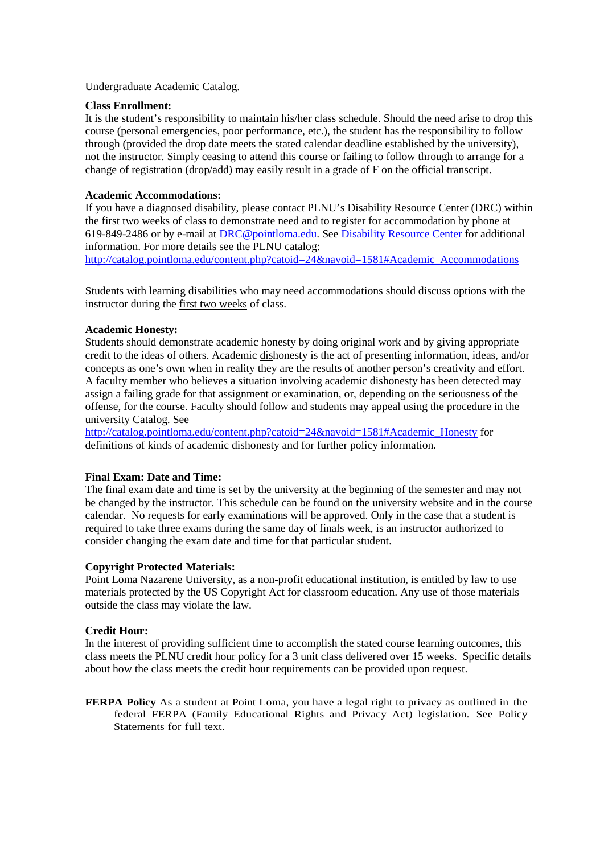Undergraduate Academic Catalog.

## **Class Enrollment:**

It is the student's responsibility to maintain his/her class schedule. Should the need arise to drop this course (personal emergencies, poor performance, etc.), the student has the responsibility to follow through (provided the drop date meets the stated calendar deadline established by the university), not the instructor. Simply ceasing to attend this course or failing to follow through to arrange for a change of registration (drop/add) may easily result in a grade of F on the official transcript.

# **Academic Accommodations:**

If you have a diagnosed disability, please contact PLNU's Disability Resource Center (DRC) within the first two weeks of class to demonstrate need and to register for accommodation by phone at 619-849-2486 or by e-mail at [DRC@pointloma.edu.](mailto:DRC@pointloma.edu) See [Disability Resource Center](http://www.pointloma.edu/experience/offices/administrative-offices/academic-advising-office/disability-resource-center) for additional information. For more details see the PLNU catalog:

[http://catalog.pointloma.edu/content.php?catoid=24&navoid=1581#Academic\\_Accommodations](http://catalog.pointloma.edu/content.php?catoid=24&navoid=1581#Academic_Accommodations) 

Students with learning disabilities who may need accommodations should discuss options with the instructor during the first two weeks of class.

## **Academic Honesty:**

Students should demonstrate academic honesty by doing original work and by giving appropriate credit to the ideas of others. Academic dishonesty is the act of presenting information, ideas, and/or concepts as one's own when in reality they are the results of another person's creativity and effort. A faculty member who believes a situation involving academic dishonesty has been detected may assign a failing grade for that assignment or examination, or, depending on the seriousness of the offense, for the course. Faculty should follow and students may appeal using the procedure in the university Catalog. See

[http://catalog.pointloma.edu/content.php?catoid=24&navoid=1581#Academic\\_Honesty](http://catalog.pointloma.edu/content.php?catoid=24&navoid=1581#Academic_Honesty) for definitions of kinds of academic dishonesty and for further policy information.

# **Final Exam: Date and Time:**

The final exam date and time is set by the university at the beginning of the semester and may not be changed by the instructor. This schedule can be found on the university website and in the course calendar. No requests for early examinations will be approved. Only in the case that a student is required to take three exams during the same day of finals week, is an instructor authorized to consider changing the exam date and time for that particular student.

## **Copyright Protected Materials:**

Point Loma Nazarene University, as a non-profit educational institution, is entitled by law to use materials protected by the US Copyright Act for classroom education. Any use of those materials outside the class may violate the law.

## **Credit Hour:**

In the interest of providing sufficient time to accomplish the stated course learning outcomes, this class meets the PLNU credit hour policy for a 3 unit class delivered over 15 weeks. Specific details about how the class meets the credit hour requirements can be provided upon request.

**FERPA Policy** As a student at Point Loma, you have a legal right to privacy as outlined in the federal FERPA (Family Educational Rights and Privacy Act) legislation. See Policy Statements for full text.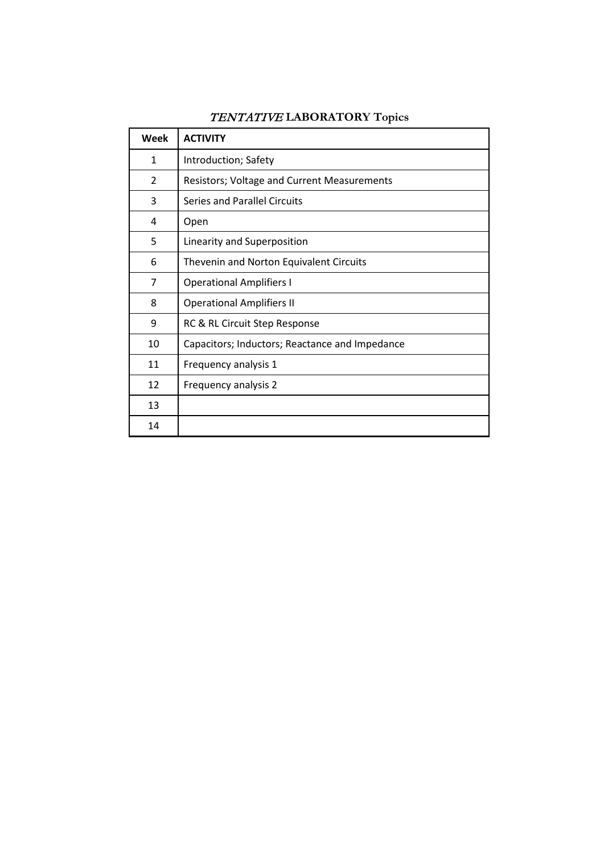| Week           | <b>ACTIVITY</b>                                |
|----------------|------------------------------------------------|
| 1              | Introduction; Safety                           |
| $\overline{2}$ | Resistors; Voltage and Current Measurements    |
| 3              | Series and Parallel Circuits                   |
| 4              | Open                                           |
| 5              | Linearity and Superposition                    |
| 6              | Thevenin and Norton Equivalent Circuits        |
| 7              | <b>Operational Amplifiers I</b>                |
| 8              | <b>Operational Amplifiers II</b>               |
| 9              | RC & RL Circuit Step Response                  |
| 10             | Capacitors; Inductors; Reactance and Impedance |
| 11             | Frequency analysis 1                           |
| 12             | Frequency analysis 2                           |
| 13             |                                                |
| 14             |                                                |

# TENTATIVE **LABORATORY Topics**